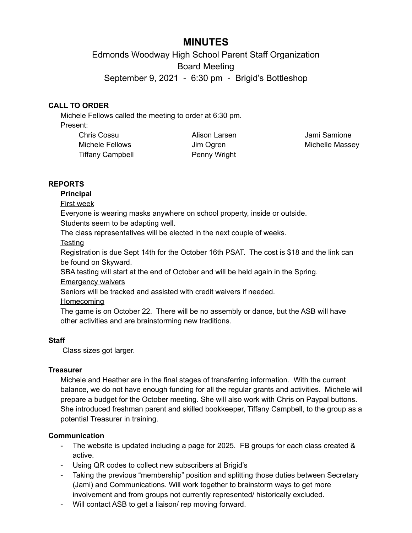# **MINUTES**

Edmonds Woodway High School Parent Staff Organization Board Meeting September 9, 2021 - 6:30 pm - Brigid's Bottleshop

# **CALL TO ORDER**

Michele Fellows called the meeting to order at 6:30 pm. Present:

| <b>Chris Cossu</b>      |  |
|-------------------------|--|
| Michele Fellows         |  |
| <b>Tiffany Campbell</b> |  |

Alison Larsen Jim Ogren Penny Wright

Jami Samione Michelle Massey

# **REPORTS**

#### **Principal**

#### First week

Everyone is wearing masks anywhere on school property, inside or outside.

Students seem to be adapting well.

The class representatives will be elected in the next couple of weeks.

**Testing** 

Registration is due Sept 14th for the October 16th PSAT. The cost is \$18 and the link can be found on Skyward.

SBA testing will start at the end of October and will be held again in the Spring.

Emergency waivers

Seniors will be tracked and assisted with credit waivers if needed.

Homecoming

The game is on October 22. There will be no assembly or dance, but the ASB will have other activities and are brainstorming new traditions.

# **Staff**

Class sizes got larger.

# **Treasurer**

Michele and Heather are in the final stages of transferring information. With the current balance, we do not have enough funding for all the regular grants and activities. Michele will prepare a budget for the October meeting. She will also work with Chris on Paypal buttons. She introduced freshman parent and skilled bookkeeper, Tiffany Campbell, to the group as a potential Treasurer in training.

# **Communication**

- The website is updated including a page for 2025. FB groups for each class created & active.
- Using QR codes to collect new subscribers at Brigid's
- Taking the previous "membership" position and splitting those duties between Secretary (Jami) and Communications. Will work together to brainstorm ways to get more involvement and from groups not currently represented/ historically excluded.
- Will contact ASB to get a liaison/ rep moving forward.